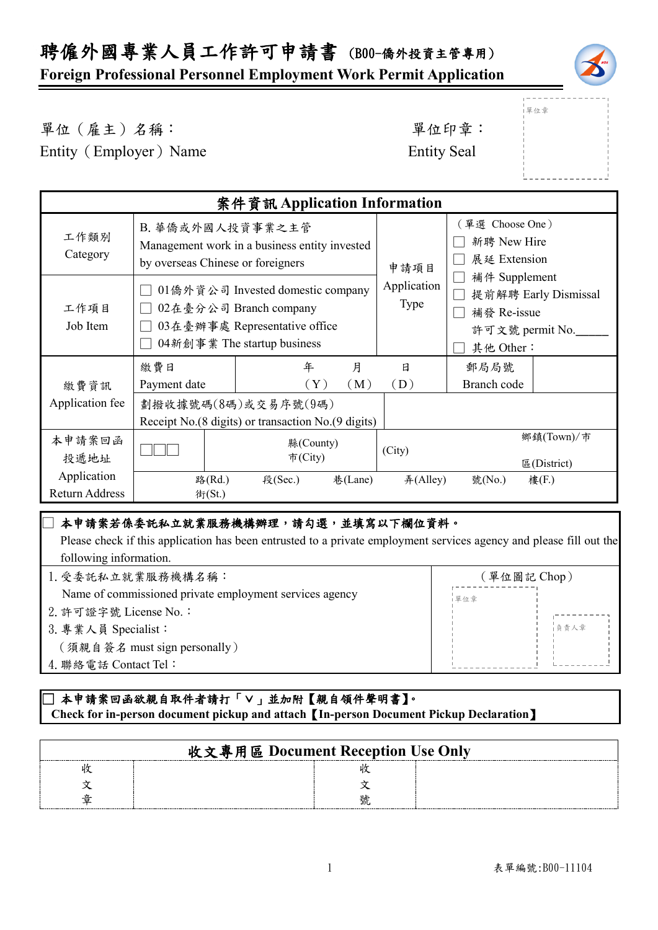# 聘僱外國專業人員工作許可申請書 (B00-僑外投資主管專用)

### **Foreign Professional Personnel Employment Work Permit Application**



單位章

單位(雇主)名稱: 第六章: 李仁平 李 里位印章:

Entity (Employer) Name Entity Seal

| 案件資訊 Application Information  |                                                                                                                             |                                                                           |         |                                                        |                                                                                      |                           |
|-------------------------------|-----------------------------------------------------------------------------------------------------------------------------|---------------------------------------------------------------------------|---------|--------------------------------------------------------|--------------------------------------------------------------------------------------|---------------------------|
| 工作類別<br>Category              | B. 華僑或外國人投資事業之主管<br>Management work in a business entity invested<br>by overseas Chinese or foreigners                      |                                                                           |         | (單選 Choose One)<br>新聘 New Hire<br>展延 Extension<br>申請項目 |                                                                                      |                           |
| 工作項目<br>Job Item              | 01僑外資公司 Invested domestic company<br>02在臺分公司 Branch company<br>03在臺辦事處 Representative office<br>04新創事業 The startup business |                                                                           |         | Application<br><b>Type</b>                             | 補件 Supplement<br>提前解聘 Early Dismissal<br>補發 Re-issue<br>許可文號 permit No.<br>其他 Other: |                           |
|                               | 繳費日                                                                                                                         | 年                                                                         | 月       | 日                                                      | 郵局局號                                                                                 |                           |
| 繳費資訊                          | Payment date                                                                                                                | $(\rm Y)$                                                                 | (M)     | (D)                                                    | Branch code                                                                          |                           |
| Application fee               |                                                                                                                             | 劃撥收據號碼(8碼)或交易序號(9碼)<br>Receipt No.(8 digits) or transaction No.(9 digits) |         |                                                        |                                                                                      |                           |
| 本申請案回函<br>投遞地址                |                                                                                                                             | 縣(County)<br>市(City)                                                      |         | (City)                                                 |                                                                                      | 鄉鎮(Town)/市<br>E(District) |
| Application<br>Return Address | 路(Rd.)<br>街(St.)                                                                                                            | 段(Sec.)                                                                   | 巷(Lane) | #(Alley)                                               | 號(No.)                                                                               | 樓(F.)                     |

#### ] 本申請案若係委託私立就業服務機構辦理,請勾選,並填寫以下欄位資料。

 Please check if this application has been entrusted to a private employment services agency and please fill out the following information.

| 1. 受委託私立就業服務機構名稱:                                       | (單位圖記 Chop) |  |
|---------------------------------------------------------|-------------|--|
| Name of commissioned private employment services agency | 單位章         |  |
| 2. 許可證字號 License No.:                                   |             |  |
| 3. 專業人員 Specialist:                                     | 自青人章        |  |
| (須親自簽名 must sign personally)                            |             |  |
| 4. 聯絡電話 Contact Tel:                                    |             |  |
|                                                         |             |  |

#### \_\_<br>□ 本申請案回函欲親自取件者請打「∨」並加附【親自領件聲明書】。  **Check for in-person document pickup and attach**【**In-person Document Pickup Declaration**】

| 收文專用區 Document Reception Use Only |  |
|-----------------------------------|--|
|                                   |  |
|                                   |  |
|                                   |  |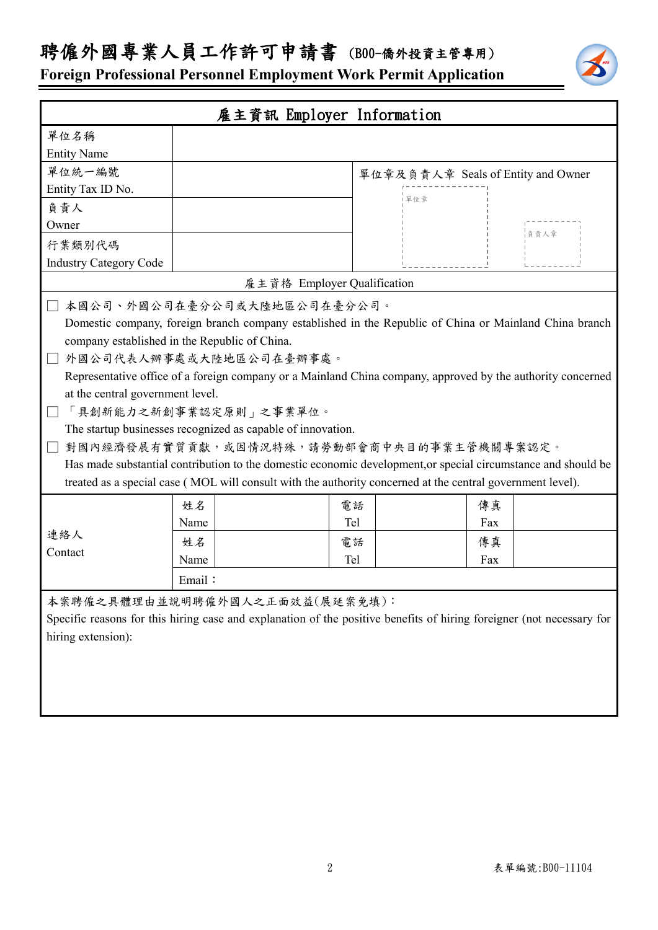## 聘僱外國專業人員工作許可申請書 (B00-僑外投資主管專用)

**Foreign Professional Personnel Employment Work Permit Application**

| 雇主資訊 Employer Information                                                                                             |                                                                                                               |     |                                    |  |  |
|-----------------------------------------------------------------------------------------------------------------------|---------------------------------------------------------------------------------------------------------------|-----|------------------------------------|--|--|
| 單位名稱                                                                                                                  |                                                                                                               |     |                                    |  |  |
| <b>Entity Name</b>                                                                                                    |                                                                                                               |     |                                    |  |  |
| 單位統一編號                                                                                                                |                                                                                                               |     | 單位章及負責人章 Seals of Entity and Owner |  |  |
| Entity Tax ID No.                                                                                                     |                                                                                                               |     |                                    |  |  |
| 負責人                                                                                                                   |                                                                                                               | 單位章 |                                    |  |  |
| Owner                                                                                                                 |                                                                                                               |     | 負責人章                               |  |  |
| 行業類別代碼                                                                                                                |                                                                                                               |     |                                    |  |  |
| <b>Industry Category Code</b>                                                                                         |                                                                                                               |     |                                    |  |  |
|                                                                                                                       | 雇主資格 Employer Qualification                                                                                   |     |                                    |  |  |
|                                                                                                                       | 本國公司、外國公司在臺分公司或大陸地區公司在臺分公司。                                                                                   |     |                                    |  |  |
|                                                                                                                       | Domestic company, foreign branch company established in the Republic of China or Mainland China branch        |     |                                    |  |  |
|                                                                                                                       | company established in the Republic of China.                                                                 |     |                                    |  |  |
|                                                                                                                       | 外國公司代表人辦事處或大陸地區公司在臺辦事處。                                                                                       |     |                                    |  |  |
|                                                                                                                       | Representative office of a foreign company or a Mainland China company, approved by the authority concerned   |     |                                    |  |  |
| at the central government level.                                                                                      |                                                                                                               |     |                                    |  |  |
|                                                                                                                       | 「具創新能力之新創事業認定原則」之事業單位。                                                                                        |     |                                    |  |  |
|                                                                                                                       | The startup businesses recognized as capable of innovation.                                                   |     |                                    |  |  |
|                                                                                                                       | 對國內經濟發展有實質貢獻,或因情況特殊,請勞動部會商中央目的事業主管機關專案認定。                                                                     |     |                                    |  |  |
|                                                                                                                       | Has made substantial contribution to the domestic economic development, or special circumstance and should be |     |                                    |  |  |
|                                                                                                                       | treated as a special case (MOL will consult with the authority concerned at the central government level).    |     |                                    |  |  |
|                                                                                                                       | 姓名                                                                                                            | 電話  | 傳真                                 |  |  |
|                                                                                                                       | Name                                                                                                          | Tel | Fax                                |  |  |
| 連絡人                                                                                                                   | 姓名                                                                                                            | 電話  | 傳真                                 |  |  |
| Contact                                                                                                               | Name                                                                                                          | Tel | Fax                                |  |  |
|                                                                                                                       | Email:                                                                                                        |     |                                    |  |  |
| 本案聘僱之具體理由並說明聘僱外國人之正面效益(展延案免填):                                                                                        |                                                                                                               |     |                                    |  |  |
| Specific reasons for this hiring case and explanation of the positive benefits of hiring foreigner (not necessary for |                                                                                                               |     |                                    |  |  |
| hiring extension):                                                                                                    |                                                                                                               |     |                                    |  |  |
|                                                                                                                       |                                                                                                               |     |                                    |  |  |
|                                                                                                                       |                                                                                                               |     |                                    |  |  |
|                                                                                                                       |                                                                                                               |     |                                    |  |  |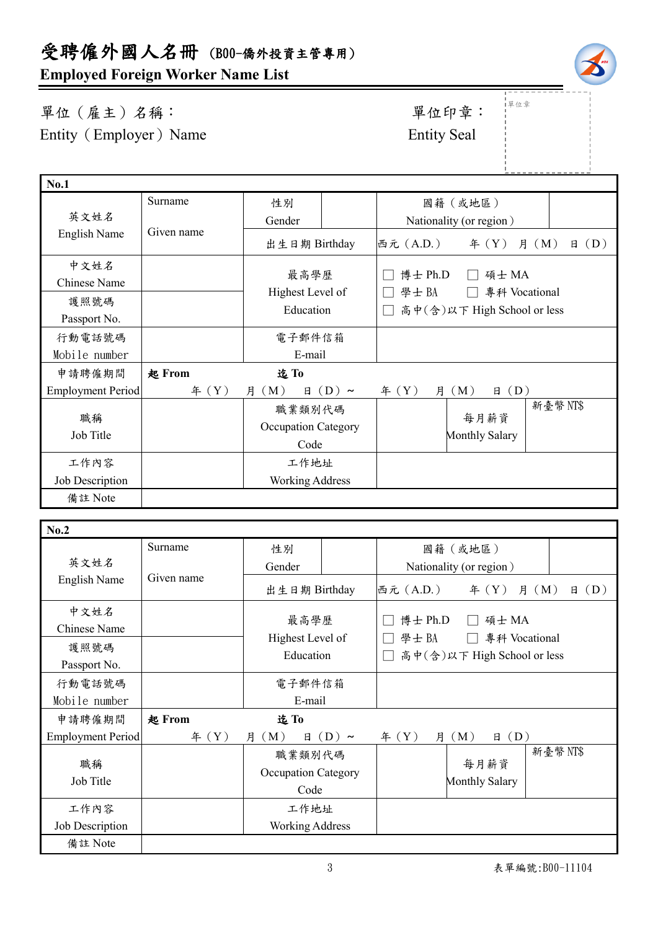**Employed Foreign Worker Name List**

單位(雇主)名稱: 第四章: 李位印章: 第一 Entity (Employer) Name Entity Seal

單位章

| <b>No.1</b>              |            |                            |            |                             |                         |                           |  |
|--------------------------|------------|----------------------------|------------|-----------------------------|-------------------------|---------------------------|--|
|                          | Surname    | 性別                         |            |                             | 國籍(或地區)                 |                           |  |
| 英文姓名                     |            | Gender                     |            |                             | Nationality (or region) |                           |  |
| English Name             | Given name | 出生日期 Birthday              |            | 西元 (A.D.)                   | # (Y)                   | $\boxplus$ (D)<br>月 $(M)$ |  |
| 中文姓名                     |            |                            |            |                             |                         |                           |  |
| Chinese Name             |            | 最高學歷                       |            | 博士 Ph.D<br>碩士 MA            |                         |                           |  |
| 護照號碼                     |            | Highest Level of           |            | 學士BA<br>專科 Vocational       |                         |                           |  |
| Passport No.             |            | Education                  |            | 高中(含)以下 High School or less |                         |                           |  |
| 行動電話號碼                   |            | 電子郵件信箱                     |            |                             |                         |                           |  |
| Mobile number            |            | E-mail                     |            |                             |                         |                           |  |
| 申請聘僱期間                   | 起 From     | 迄To                        |            |                             |                         |                           |  |
| <b>Employment Period</b> | # (Y)      | 月 (M)<br>日                 | $(D) \sim$ | # (Y)                       | (D)<br>月 (M)<br>日       |                           |  |
|                          |            | 職業類別代碼                     |            |                             |                         | 新臺幣 NT\$                  |  |
| 職稱                       |            | <b>Occupation Category</b> |            |                             | 每月薪資                    |                           |  |
| Job Title                |            | Code                       |            | Monthly Salary              |                         |                           |  |
| 工作內容                     |            | 工作地址                       |            |                             |                         |                           |  |
| Job Description          |            | <b>Working Address</b>     |            |                             |                         |                           |  |
| 備註 Note                  |            |                            |            |                             |                         |                           |  |

| No.2                     |            |                                       |            |                                                                          |                               |                |
|--------------------------|------------|---------------------------------------|------------|--------------------------------------------------------------------------|-------------------------------|----------------|
|                          | Surname    | 性別                                    |            |                                                                          | 國籍(或地區)                       |                |
| 英文姓名                     |            | Gender                                |            | Nationality (or region)                                                  |                               |                |
| English Name             | Given name | 出生日期 Birthday                         |            | 西元 (A.D.)                                                                | $\text{4}(Y)$ 月 $(M)$         | $\boxplus$ (D) |
| 中文姓名<br>Chinese Name     |            | 最高學歷<br>Highest Level of<br>Education |            | 博士 Ph.D<br>碩士 MA<br>學士BA<br>專科 Vocational<br>高中(含)以下 High School or less |                               |                |
| 護照號碼<br>Passport No.     |            |                                       |            |                                                                          |                               |                |
| 行動電話號碼                   |            | 電子郵件信箱                                |            |                                                                          |                               |                |
| Mobile number            |            | E-mail                                |            |                                                                          |                               |                |
| 申請聘僱期間                   | 起 From     | 迄To                                   |            |                                                                          |                               |                |
| <b>Employment Period</b> | # (Y)      | 月 (M)<br>日                            | $(D) \sim$ | # (Y)                                                                    | $\boxplus$ (D)<br>月 (M)       |                |
| 職稱<br>Job Title          |            | 職業類別代碼<br>Occupation Category<br>Code |            |                                                                          | 每月薪資<br><b>Monthly Salary</b> | 新臺幣NT\$        |
| 工作內容                     |            | 工作地址                                  |            |                                                                          |                               |                |
| Job Description          |            | Working Address                       |            |                                                                          |                               |                |
| 備註 Note                  |            |                                       |            |                                                                          |                               |                |

| 'nл<br>٠ |  |
|----------|--|
|          |  |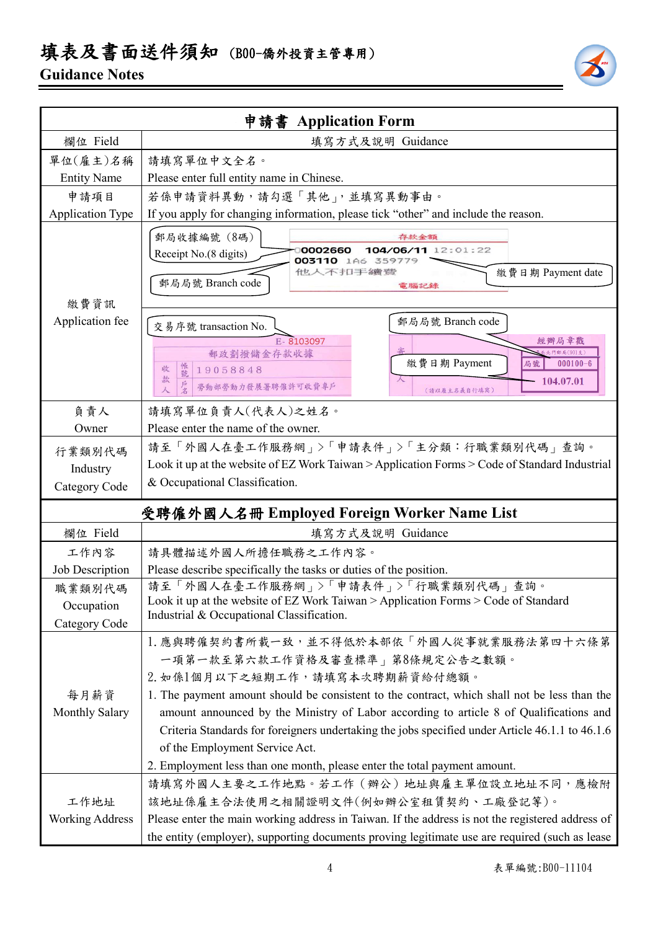## 填表及書面送件須知 (B00-僑外投資主管專用)

### **Guidance Notes**



|                                       | 申請書 Application Form                                                                                                                                                                                                                                                                                                                                                                                                                                                                                                       |  |  |  |  |
|---------------------------------------|----------------------------------------------------------------------------------------------------------------------------------------------------------------------------------------------------------------------------------------------------------------------------------------------------------------------------------------------------------------------------------------------------------------------------------------------------------------------------------------------------------------------------|--|--|--|--|
| 欄位 Field                              | 填寫方式及說明 Guidance                                                                                                                                                                                                                                                                                                                                                                                                                                                                                                           |  |  |  |  |
| 單位(雇主)名稱                              | 請填寫單位中文全名。                                                                                                                                                                                                                                                                                                                                                                                                                                                                                                                 |  |  |  |  |
| <b>Entity Name</b>                    | Please enter full entity name in Chinese.                                                                                                                                                                                                                                                                                                                                                                                                                                                                                  |  |  |  |  |
| 申請項目                                  | 若係申請資料異動,請勾選「其他」,並填寫異動事由。                                                                                                                                                                                                                                                                                                                                                                                                                                                                                                  |  |  |  |  |
| <b>Application Type</b>               | If you apply for changing information, please tick "other" and include the reason.                                                                                                                                                                                                                                                                                                                                                                                                                                         |  |  |  |  |
| 繳費資訊                                  | 郵局收據編號 (8碼)<br>存款金額<br>104/06/11 12:01:22<br>0002660<br>Receipt No.(8 digits)<br>003110 1A6<br>359779<br>他人不扣手續變<br>繳費日期 Payment date<br>郵局局號 Branch code<br>電腦記錄                                                                                                                                                                                                                                                                                                                                                          |  |  |  |  |
| Application fee                       | 郵局局號 Branch code<br>交易序號 transaction No.<br>E-8103097<br>經辦局章戳<br><b>比門郵局(901支</b><br>郵政劃撥儲金存款收據<br>繳費日期 Payment<br>$000100 - 6$<br>局號<br>帳號<br>收<br>19058848<br>款<br>104.07.01<br>勞動部勞動力發展署聘僱許可收費專戶<br>(請以雇主名義自行填寫)                                                                                                                                                                                                                                                                                                       |  |  |  |  |
| 負責人                                   | 請填寫單位負責人(代表人)之姓名。                                                                                                                                                                                                                                                                                                                                                                                                                                                                                                          |  |  |  |  |
| Owner                                 | Please enter the name of the owner.                                                                                                                                                                                                                                                                                                                                                                                                                                                                                        |  |  |  |  |
| 行業類別代碼<br>Industry<br>Category Code   | 請至「外國人在臺工作服務網」>「申請表件」>「主分類:行職業類別代碼」查詢。<br>Look it up at the website of EZ Work Taiwan > Application Forms > Code of Standard Industrial<br>& Occupational Classification.                                                                                                                                                                                                                                                                                                                                                  |  |  |  |  |
|                                       | 受聘僱外國人名冊 Employed Foreign Worker Name List                                                                                                                                                                                                                                                                                                                                                                                                                                                                                 |  |  |  |  |
| 欄位 Field                              | 填寫方式及說明 Guidance                                                                                                                                                                                                                                                                                                                                                                                                                                                                                                           |  |  |  |  |
| 工作內容                                  | 請具體描述外國人所擔任職務之工作內容。                                                                                                                                                                                                                                                                                                                                                                                                                                                                                                        |  |  |  |  |
| Job Description                       | Please describe specifically the tasks or duties of the position.                                                                                                                                                                                                                                                                                                                                                                                                                                                          |  |  |  |  |
| 職業類別代碼<br>Occupation<br>Category Code | 請至「外國人在臺工作服務網」>「申請表件」>「行職業類別代碼」查詢。<br>Look it up at the website of EZ Work Taiwan $>$ Application Forms $>$ Code of Standard<br>Industrial & Occupational Classification.                                                                                                                                                                                                                                                                                                                                                  |  |  |  |  |
| 每月薪資<br><b>Monthly Salary</b>         | 1. 應與聘僱契約書所載一致,並不得低於本部依「外國人從事就業服務法第四十六條第<br>一項第一款至第六款工作資格及審查標準   第8條規定公告之數額。<br>2. 如係1個月以下之短期工作,請填寫本次聘期薪資給付總額。<br>1. The payment amount should be consistent to the contract, which shall not be less than the<br>amount announced by the Ministry of Labor according to article 8 of Qualifications and<br>Criteria Standards for foreigners undertaking the jobs specified under Article 46.1.1 to 46.1.6<br>of the Employment Service Act.<br>2. Employment less than one month, please enter the total payment amount. |  |  |  |  |
|                                       | 請填寫外國人主要之工作地點。若工作 (辦公) 地址與雇主單位設立地址不同,應檢附                                                                                                                                                                                                                                                                                                                                                                                                                                                                                   |  |  |  |  |
| 工作地址                                  | 該地址係雇主合法使用之相關證明文件(例如辦公室租賃契約、工廠登記等)。                                                                                                                                                                                                                                                                                                                                                                                                                                                                                        |  |  |  |  |
| <b>Working Address</b>                | Please enter the main working address in Taiwan. If the address is not the registered address of<br>the entity (employer), supporting documents proving legitimate use are required (such as lease                                                                                                                                                                                                                                                                                                                         |  |  |  |  |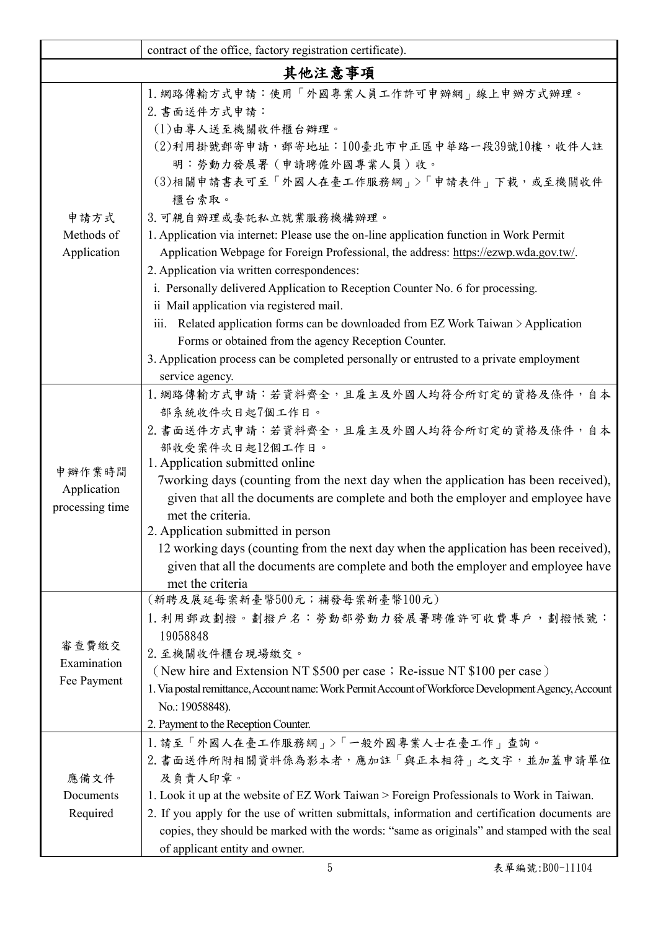|                                          | contract of the office, factory registration certificate).                                                                                                                                                                                                                                                                                                                                                                                                                                                                                                                                                                                                                                                                                                                                                                                 |  |  |  |
|------------------------------------------|--------------------------------------------------------------------------------------------------------------------------------------------------------------------------------------------------------------------------------------------------------------------------------------------------------------------------------------------------------------------------------------------------------------------------------------------------------------------------------------------------------------------------------------------------------------------------------------------------------------------------------------------------------------------------------------------------------------------------------------------------------------------------------------------------------------------------------------------|--|--|--|
| 其他注意事項                                   |                                                                                                                                                                                                                                                                                                                                                                                                                                                                                                                                                                                                                                                                                                                                                                                                                                            |  |  |  |
| 申請方式<br>Methods of<br>Application        | 1. 網路傳輸方式申請:使用「外國專業人員工作許可申辦網」線上申辦方式辦理。<br>2. 書面送件方式申請:<br>(1)由專人送至機關收件櫃台辦理。<br>(2)利用掛號郵寄申請,郵寄地址:100臺北市中正區中華路一段39號10樓,收件人註<br>明:勞動力發展署(申請聘僱外國專業人員)收。<br>(3)相關申請書表可至「外國人在臺工作服務網」>「申請表件」下載,或至機關收件<br>櫃台索取。<br>3. 可親自辦理或委託私立就業服務機構辦理。<br>1. Application via internet: Please use the on-line application function in Work Permit<br>Application Webpage for Foreign Professional, the address: https://ezwp.wda.gov.tw/.<br>2. Application via written correspondences:<br>i. Personally delivered Application to Reception Counter No. 6 for processing.<br>ii Mail application via registered mail.<br>iii. Related application forms can be downloaded from EZ Work Taiwan > Application<br>Forms or obtained from the agency Reception Counter.<br>3. Application process can be completed personally or entrusted to a private employment |  |  |  |
| 申辦作業時間<br>Application<br>processing time | service agency.<br>1. 網路傳輸方式申請:若資料齊全,且雇主及外國人均符合所訂定的資格及條件,自本<br>部系統收件次日起7個工作日。<br>2. 書面送件方式申請:若資料齊全,且雇主及外國人均符合所訂定的資格及條件,自本<br>部收受案件次日起12個工作日。<br>1. Application submitted online<br>7working days (counting from the next day when the application has been received),<br>given that all the documents are complete and both the employer and employee have<br>met the criteria.<br>2. Application submitted in person<br>12 working days (counting from the next day when the application has been received),<br>given that all the documents are complete and both the employer and employee have<br>met the criteria                                                                                                                                                                                                                     |  |  |  |
| 審查費繳交<br>Examination<br>Fee Payment      | (新聘及展延每案新臺幣500元;補發每案新臺幣100元)<br>1. 利用郵政劃撥。劃撥戶名:勞動部勞動力發展署聘僱許可收費專戶,劃撥帳號:<br>19058848<br>2. 至機關收件櫃台現場繳交。<br>(New hire and Extension NT \$500 per case; Re-issue NT \$100 per case)<br>1. Via postal remittance, Account name: Work Permit Account of Workforce Development Agency, Account<br>No.: 19058848).<br>2. Payment to the Reception Counter.                                                                                                                                                                                                                                                                                                                                                                                                                                                                                         |  |  |  |
| 應備文件<br>Documents<br>Required            | 1. 請至「外國人在臺工作服務網」>「一般外國專業人士在臺工作」查詢。<br>2. 書面送件所附相關資料係為影本者,應加註「與正本相符」之文字,並加蓋申請單位<br>及負責人印章。<br>1. Look it up at the website of EZ Work Taiwan > Foreign Professionals to Work in Taiwan.<br>2. If you apply for the use of written submittals, information and certification documents are<br>copies, they should be marked with the words: "same as originals" and stamped with the seal<br>of applicant entity and owner.                                                                                                                                                                                                                                                                                                                                                                                                                 |  |  |  |